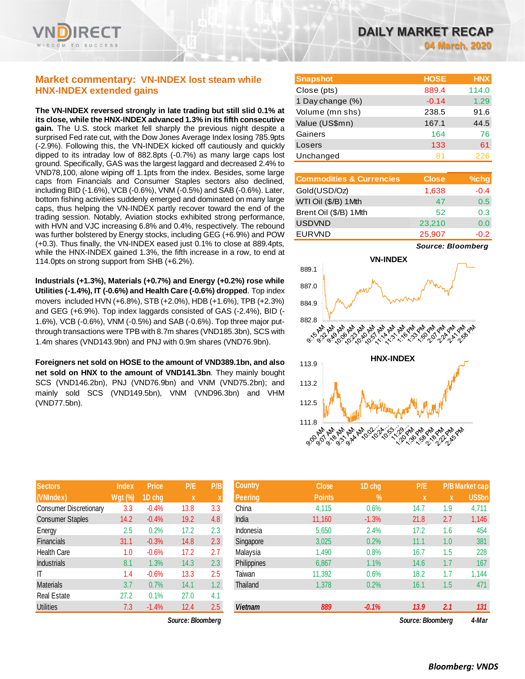

## **Market commentary: VN-INDEX lost steam while HNX-INDEX extended gains**

**The VN-INDEX reversed strongly in late trading but still slid 0.1% at its close, while the HNX-INDEX advanced 1.3% in its fifth consecutive gain.** The U.S. stock market fell sharply the previous night despite a surprised Fed rate cut, with the Dow Jones Average Index losing 785.9pts (-2.9%). Following this, the VN-INDEX kicked off cautiously and quickly dipped to its intraday low of 882.8pts (-0.7%) as many large caps lost ground. Specifically, GAS was the largest laggard and decreased 2.4% to VND78,100, alone wiping off 1.1pts from the index. Besides, some large caps from Financials and Consumer Staples sectors also declined, including BID (-1.6%), VCB (-0.6%), VNM (-0.5%) and SAB (-0.6%). Later, bottom fishing activities suddenly emerged and dominated on many large caps, thus helping the VN-INDEX partly recover toward the end of the trading session. Notably, Aviation stocks exhibited strong performance, with HVN and VJC increasing 6.8% and 0.4%, respectively. The rebound was further bolstered by Energy stocks, including GEG (+6.9%) and POW (+0.3). Thus finally, the VN-INDEX eased just 0.1% to close at 889.4pts, while the HNX-INDEX gained 1.3%, the fifth increase in a row, to end at 114.0pts on strong support from SHB (+6.2%).

**Industrials (+1.3%), Materials (+0.7%) and Energy (+0.2%) rose while Utilities (-1.4%), IT (-0.6%) and Health Care (-0.6%) dropped**. Top index movers included HVN (+6.8%), STB (+2.0%), HDB (+1.6%), TPB (+2.3%) and GEG (+6.9%). Top index laggards consisted of GAS (-2.4%), BID (- 1.6%), VCB (-0.6%), VNM (-0.5%) and SAB (-0.6%). Top three major putthrough transactions were TPB with 8.7m shares (VND185.3bn), SCS with 1.4m shares (VND143.9bn) and PNJ with 0.9m shares (VND76.9bn).

**Foreigners net sold on HOSE to the amount of VND389.1bn, and also net sold on HNX to the amount of VND141.3bn**. They mainly bought SCS (VND146.2bn), PNJ (VND76.9bn) and VNM (VND75.2bn); and mainly sold SCS (VND149.5bn), VNM (VND96.3bn) and VHM (VND77.5bn).

| <b>Sectors</b>                | <b>Index</b>   | <b>Price</b> | P/E  | P/B |
|-------------------------------|----------------|--------------|------|-----|
| (VNIndex)                     | <b>Wgt (%)</b> | 1D chg       | X    | X   |
| <b>Consumer Discretionary</b> | 3.3            | $-0.4%$      | 13.8 | 3.3 |
| <b>Consumer Staples</b>       | 14.2           | $-0.4%$      | 19.2 | 4.8 |
| Energy                        | 2.5            | 0.2%         | 17.2 | 2.3 |
| <b>Financials</b>             | 31.1           | $-0.3%$      | 14.8 | 2.3 |
| <b>Health Care</b>            | 1.0            | $-0.6%$      | 17.2 | 2.7 |
| <b>Industrials</b>            | 8.1            | 1.3%         | 14.3 | 2.3 |
| ΙT                            | 1.4            | $-0.6%$      | 13.3 | 2.5 |
| <b>Materials</b>              | 3.7            | 0.7%         | 14.1 | 1.2 |
| <b>Real Estate</b>            | 27.2           | 0.1%         | 27.0 | 4.1 |
| <b>Utilities</b>              | 7.3            | $-1.4%$      | 12.4 | 2.5 |

*Source: Bloomberg Source: Bloomberg 4-Mar*

| <b>Snapshot</b>  | <b>HOSE</b> | <b>HNX</b> |
|------------------|-------------|------------|
| Close (pts)      | 889.4       | 114.0      |
| 1 Day change (%) | $-0.14$     | 1.29       |
| Volume (mn shs)  | 238.5       | 91.6       |
| Value (US\$mn)   | 167.1       | 44.5       |
| Gainers          | 164         | 76         |
| Losers           | 133         | 61         |
| Unchanged        | 81          | 226        |

| <b>Commodities &amp; Currencies</b> | <b>Close</b> | $%$ chg |
|-------------------------------------|--------------|---------|
| Gold(USD/Oz)                        | 1,638        | $-0.4$  |
| WTI Oil (\$/B) 1 Mth                | 47           | 0.5     |
| Brent Oil (\$/B) 1Mth               | 52           | 0.3     |
| <b>USDVND</b>                       | 23,210       | 0.0     |
| <b>EURVND</b>                       | 25,907       | $-0.2$  |

*Source: Bloomberg*



| <b>Sectors</b>          | <b>Index</b>   | <b>Price</b> | P/E               | P/B              | <b>Country</b> | <b>Close</b>  | 1D chg     | P/E               |     | <b>P/B Market cap</b> |
|-------------------------|----------------|--------------|-------------------|------------------|----------------|---------------|------------|-------------------|-----|-----------------------|
| (VNIndex)               | <b>Wgt (%)</b> | 1D chg       | X                 |                  | <b>Peering</b> | <b>Points</b> | $\sqrt{2}$ | X                 | x   | <b>US\$bn</b>         |
| Consumer Discretionary  | 3.3            | $-0.4%$      | 13.8              | 3.3              | China          | 4,115         | 0.6%       | 14.7              | 1.9 | 4,711                 |
| <b>Consumer Staples</b> | 14.2           | $-0.4%$      | 19.2              | 4.8              | India          | 11,160        | $-1.3%$    | 21.8              | 2.7 | 1,146                 |
| Energy                  | 2.5            | 0.2%         | 17.2              | 2.3              | Indonesia      | 5,650         | 2.4%       | 17.2              | 1.6 | 454                   |
| Financials              | 31.1           | $-0.3%$      | 14.8              | 2.3              | Singapore      | 3,025         | 0.2%       | 11.1              | 1.0 | 381                   |
| Health Care             | 1.0            | $-0.6%$      | 17.2              | 2.7              | Malaysia       | 1,490         | 0.8%       | 16.7              | 1.5 | 228                   |
| Industrials             | 8.1            | 1.3%         | 14.3              | 2.3              | Philippines    | 6,867         | 1.1%       | 14.6              | 1.7 | 167                   |
| ΙT                      | 1.4            | $-0.6%$      | 13.3              | 2.5              | Taiwan         | 11,392        | 0.6%       | 18.2              | 1.7 | 1,144                 |
| Materials               | 3.7            | 0.7%         | 14.1              | 1.2 <sub>1</sub> | Thailand       | 1,378         | 0.2%       | 16.1              | 1.5 | 471                   |
| Real Estate             | 27.2           | 0.1%         | 27.0              | 4.1              |                |               |            |                   |     |                       |
| <b>Utilities</b>        | 7.3            | $-1.4%$      | 12.4              | 2.5              | <b>Vietnam</b> | 889           | $-0.1%$    | 13.9              | 2.1 | 131                   |
|                         |                |              | Source: Bloomberg |                  |                |               |            | Source: Bloomberg |     | 4-Mar                 |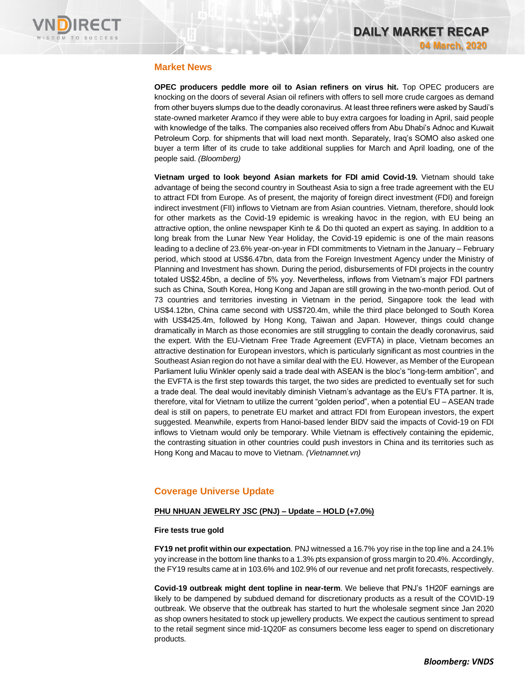

#### **Market News**

**OPEC producers peddle more oil to Asian refiners on virus hit.** Top OPEC producers are knocking on the doors of several Asian oil refiners with offers to sell more crude cargoes as demand from other buyers slumps due to the deadly coronavirus. At least three refiners were asked by Saudi's state-owned marketer Aramco if they were able to buy extra cargoes for loading in April, said people with knowledge of the talks. The companies also received offers from Abu Dhabi's Adnoc and Kuwait Petroleum Corp. for shipments that will load next month. Separately, Iraq's SOMO also asked one buyer a term lifter of its crude to take additional supplies for March and April loading, one of the people said. *(Bloomberg)*

**Vietnam urged to look beyond Asian markets for FDI amid Covid-19.** Vietnam should take advantage of being the second country in Southeast Asia to sign a free trade agreement with the EU to attract FDI from Europe. As of present, the majority of foreign direct investment (FDI) and foreign indirect investment (FII) inflows to Vietnam are from Asian countries. Vietnam, therefore, should look for other markets as the Covid-19 epidemic is wreaking havoc in the region, with EU being an attractive option, the online newspaper Kinh te & Do thi quoted an expert as saying. In addition to a long break from the Lunar New Year Holiday, the Covid-19 epidemic is one of the main reasons leading to a decline of 23.6% year-on-year in FDI commitments to Vietnam in the January – February period, which stood at US\$6.47bn, data from the Foreign Investment Agency under the Ministry of Planning and Investment has shown. During the period, disbursements of FDI projects in the country totaled US\$2.45bn, a decline of 5% yoy. Nevertheless, inflows from Vietnam's major FDI partners such as China, South Korea, Hong Kong and Japan are still growing in the two-month period. Out of 73 countries and territories investing in Vietnam in the period, Singapore took the lead with US\$4.12bn, China came second with US\$720.4m, while the third place belonged to South Korea with US\$425.4m, followed by Hong Kong, Taiwan and Japan. However, things could change dramatically in March as those economies are still struggling to contain the deadly coronavirus, said the expert. With the EU-Vietnam Free Trade Agreement (EVFTA) in place, Vietnam becomes an attractive destination for European investors, which is particularly significant as most countries in the Southeast Asian region do not have a similar deal with the EU. However, as Member of the European Parliament Iuliu Winkler openly said a trade deal with ASEAN is the bloc's "long-term ambition", and the EVFTA is the first step towards this target, the two sides are predicted to eventually set for such a trade deal. The deal would inevitably diminish Vietnam's advantage as the EU's FTA partner. It is, therefore, vital for Vietnam to utilize the current "golden period", when a potential EU – ASEAN trade deal is still on papers, to penetrate EU market and attract FDI from European investors, the expert suggested. Meanwhile, experts from Hanoi-based lender BIDV said the impacts of Covid-19 on FDI inflows to Vietnam would only be temporary. While Vietnam is effectively containing the epidemic, the contrasting situation in other countries could push investors in China and its territories such as Hong Kong and Macau to move to Vietnam. *(Vietnamnet.vn)*

# **Coverage Universe Update**

#### **PHU NHUAN JEWELRY JSC (PNJ) – Update – HOLD (+7.0%)**

#### **Fire tests true gold**

**FY19 net profit within our expectation**. PNJ witnessed a 16.7% yoy rise in the top line and a 24.1% yoy increase in the bottom line thanks to a 1.3% pts expansion of gross margin to 20.4%. Accordingly, the FY19 results came at in 103.6% and 102.9% of our revenue and net profit forecasts, respectively.

**Covid-19 outbreak might dent topline in near-term**. We believe that PNJ's 1H20F earnings are likely to be dampened by subdued demand for discretionary products as a result of the COVID-19 outbreak. We observe that the outbreak has started to hurt the wholesale segment since Jan 2020 as shop owners hesitated to stock up jewellery products. We expect the cautious sentiment to spread to the retail segment since mid-1Q20F as consumers become less eager to spend on discretionary products.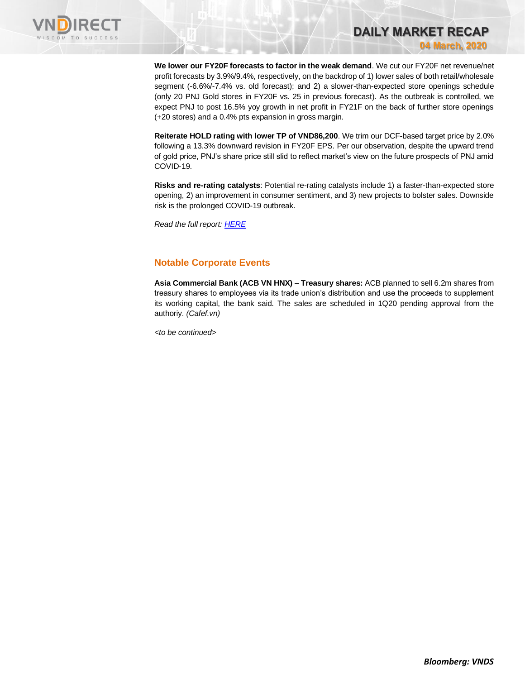

**We lower our FY20F forecasts to factor in the weak demand**. We cut our FY20F net revenue/net profit forecasts by 3.9%/9.4%, respectively, on the backdrop of 1) lower sales of both retail/wholesale segment (-6.6%/-7.4% vs. old forecast); and 2) a slower-than-expected store openings schedule (only 20 PNJ Gold stores in FY20F vs. 25 in previous forecast). As the outbreak is controlled, we expect PNJ to post 16.5% yoy growth in net profit in FY21F on the back of further store openings (+20 stores) and a 0.4% pts expansion in gross margin.

**DAILY MARKET RECAP** 

**04 March, 2020**

**Reiterate HOLD rating with lower TP of VND86,200**. We trim our DCF-based target price by 2.0% following a 13.3% downward revision in FY20F EPS. Per our observation, despite the upward trend of gold price, PNJ's share price still slid to reflect market's view on the future prospects of PNJ amid COVID-19.

**Risks and re-rating catalysts**: Potential re-rating catalysts include 1) a faster-than-expected store opening, 2) an improvement in consumer sentiment, and 3) new projects to bolster sales. Downside risk is the prolonged COVID-19 outbreak.

*Read the full report: [HERE](https://nhanha-public-api.vndirect.com.vn/click/OGE0ODlmZDA2ODYwMjZlMjAxNjg5OGJlM2IzNDMxODU=/MzcxYTI4ZTMxMDIyNDc5NTg3OWY0YTMyOTU0OGJkNzg=/371a28e310224795879f4a329548bd78-PNJ_Update_20200303.pdf/cmVzZWFyY2hAdm5kaXJlY3QuY29tLnZu/MTU3OTg=)*

## **Notable Corporate Events**

**Asia Commercial Bank (ACB VN HNX) – Treasury shares:** ACB planned to sell 6.2m shares from treasury shares to employees via its trade union's distribution and use the proceeds to supplement its working capital, the bank said. The sales are scheduled in 1Q20 pending approval from the authoriy. *(Cafef.vn)*

*<to be continued>*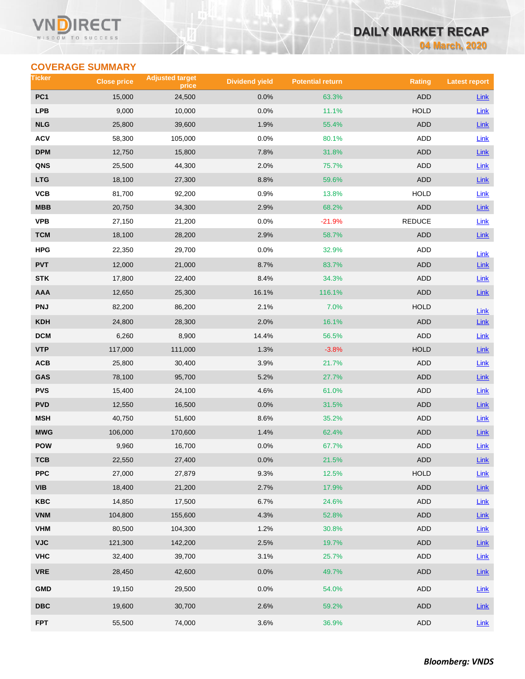#### Vľ ECT WISDOM TO SUCCESS

# **DAILY MARKET RECAP**

**04 March, 2020**

# **COVERAGE SUMMARY**

| Ticker                  | <b>Close price</b> | <b>Adjusted target</b><br>price | <b>Dividend yield</b> | <b>Potential return</b> | <b>Rating</b> | <b>Latest report</b> |
|-------------------------|--------------------|---------------------------------|-----------------------|-------------------------|---------------|----------------------|
| PC <sub>1</sub>         | 15,000             | 24,500                          | 0.0%                  | 63.3%                   | <b>ADD</b>    | <b>Link</b>          |
| <b>LPB</b>              | 9,000              | 10,000                          | 0.0%                  | 11.1%                   | <b>HOLD</b>   | Link                 |
| <b>NLG</b>              | 25,800             | 39,600                          | 1.9%                  | 55.4%                   | <b>ADD</b>    | Link                 |
| <b>ACV</b>              | 58,300             | 105,000                         | 0.0%                  | 80.1%                   | ADD           | Link                 |
| <b>DPM</b>              | 12,750             | 15,800                          | 7.8%                  | 31.8%                   | <b>ADD</b>    | Link                 |
| QNS                     | 25,500             | 44,300                          | 2.0%                  | 75.7%                   | <b>ADD</b>    | <b>Link</b>          |
| <b>LTG</b>              | 18,100             | 27,300                          | 8.8%                  | 59.6%                   | <b>ADD</b>    | Link                 |
| VCB                     | 81,700             | 92,200                          | 0.9%                  | 13.8%                   | <b>HOLD</b>   | Link                 |
| MBB                     | 20,750             | 34,300                          | 2.9%                  | 68.2%                   | <b>ADD</b>    | Link                 |
| <b>VPB</b>              | 27,150             | 21,200                          | 0.0%                  | $-21.9%$                | <b>REDUCE</b> | Link                 |
| <b>TCM</b>              | 18,100             | 28,200                          | 2.9%                  | 58.7%                   | <b>ADD</b>    | Link                 |
| HPG                     | 22,350             | 29,700                          | 0.0%                  | 32.9%                   | ADD           | Link                 |
| <b>PVT</b>              | 12,000             | 21,000                          | 8.7%                  | 83.7%                   | <b>ADD</b>    | <b>Link</b>          |
| <b>STK</b>              | 17,800             | 22,400                          | 8.4%                  | 34.3%                   | ADD           | Link                 |
| <b>AAA</b>              | 12,650             | 25,300                          | 16.1%                 | 116.1%                  | <b>ADD</b>    | $Link$               |
| <b>PNJ</b>              | 82,200             | 86,200                          | 2.1%                  | 7.0%                    | <b>HOLD</b>   | Link                 |
| <b>KDH</b>              | 24,800             | 28,300                          | 2.0%                  | 16.1%                   | <b>ADD</b>    | <b>Link</b>          |
| <b>DCM</b>              | 6,260              | 8,900                           | 14.4%                 | 56.5%                   | <b>ADD</b>    | Link                 |
| <b>VTP</b>              | 117,000            | 111,000                         | 1.3%                  | $-3.8%$                 | <b>HOLD</b>   | Link                 |
| ACB                     | 25,800             | 30,400                          | 3.9%                  | 21.7%                   | ADD           | Link                 |
| GAS                     | 78,100             | 95,700                          | 5.2%                  | 27.7%                   | <b>ADD</b>    | Link                 |
| <b>PVS</b>              | 15,400             | 24,100                          | 4.6%                  | 61.0%                   | <b>ADD</b>    | Link                 |
| <b>PVD</b>              | 12,550             | 16,500                          | 0.0%                  | 31.5%                   | <b>ADD</b>    | Link                 |
| <b>MSH</b>              | 40,750             | 51,600                          | 8.6%                  | 35.2%                   | ADD           | <b>Link</b>          |
| <b>MWG</b>              | 106,000            | 170,600                         | 1.4%                  | 62.4%                   | <b>ADD</b>    | $Link$               |
| <b>POW</b>              | 9,960              | 16,700                          | 0.0%                  | 67.7%                   | <b>ADD</b>    | Link                 |
| тсв                     | 22,550             | 27,400                          | $0.0\%$               | 21.5%                   | ADD           | $Link$               |
| <b>PPC</b>              | 27,000             | 27,879                          | 9.3%                  | 12.5%                   | <b>HOLD</b>   | Link                 |
| <b>VIB</b>              | 18,400             | 21,200                          | 2.7%                  | 17.9%                   | ADD           | $Link$               |
| KBC                     | 14,850             | 17,500                          | 6.7%                  | 24.6%                   | ADD           | Link                 |
| <b>VNM</b>              | 104,800            | 155,600                         | 4.3%                  | 52.8%                   | ADD           | Link                 |
| <b>VHM</b>              | 80,500             | 104,300                         | 1.2%                  | 30.8%                   | ADD           | <b>Link</b>          |
| <b>VJC</b>              | 121,300            | 142,200                         | 2.5%                  | 19.7%                   | ADD           | Link                 |
| <b>VHC</b>              | 32,400             | 39,700                          | 3.1%                  | 25.7%                   | ADD           | <b>Link</b>          |
| <b>VRE</b>              | 28,450             | 42,600                          | 0.0%                  | 49.7%                   | ADD           | $Link$               |
| <b>GMD</b>              | 19,150             | 29,500                          | 0.0%                  | 54.0%                   | ADD           | <b>Link</b>          |
| $\overline{\text{DBC}}$ | 19,600             | 30,700                          | 2.6%                  | 59.2%                   | ADD           | Link                 |
| <b>FPT</b>              | 55,500             | 74,000                          | 3.6%                  | 36.9%                   | ADD           | Link                 |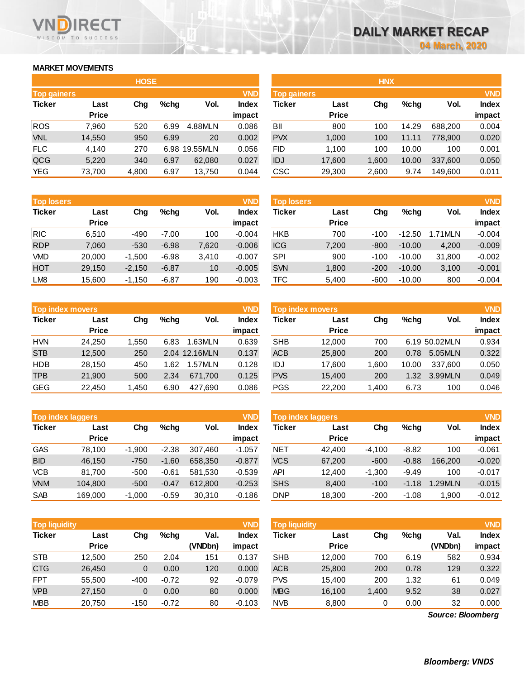## **MARKET MOVEMENTS**

WISDOM TO SUCCESS

ECT

|                    |              | <b>HOSE</b> |      |          |              |
|--------------------|--------------|-------------|------|----------|--------------|
| <b>Top gainers</b> |              |             |      |          | <b>VND</b>   |
| <b>Ticker</b>      | Last         | Cha         | %chq | Vol.     | <b>Index</b> |
|                    | <b>Price</b> |             |      |          | impact       |
| <b>ROS</b>         | 7,960        | 520         | 6.99 | 4.88MLN  | 0.086        |
| <b>VNL</b>         | 14,550       | 950         | 6.99 | 20       | 0.002        |
| <b>FLC</b>         | 4,140        | 270         | 6.98 | 19.55MLN | 0.056        |
| QCG                | 5,220        | 340         | 6.97 | 62,080   | 0.027        |
| <b>YEG</b>         | 73,700       | 4,800       | 6.97 | 13,750   | 0.044        |

| <b>Top losers</b> | <b>VND</b>   |          |         |       |              |            |              |        |          |         | <b>VND</b> |
|-------------------|--------------|----------|---------|-------|--------------|------------|--------------|--------|----------|---------|------------|
| <b>Ticker</b>     | Last         | Chg      | %chq    | Vol.  | <b>Index</b> | Ticker     | Last         | Chg    | $%$ chq  | Vol.    | Index      |
|                   | <b>Price</b> |          |         |       | impact       |            | <b>Price</b> |        |          |         | impact     |
| <b>RIC</b>        | 6.510        | $-490$   | $-7.00$ | 100   | $-0.004$     | <b>HKB</b> | 700          | $-100$ | $-12.50$ | 1.71MLN | $-0.004$   |
| <b>RDP</b>        | 7,060        | $-530$   | $-6.98$ | 7,620 | $-0.006$     | <b>ICG</b> | 7,200        | $-800$ | $-10.00$ | 4,200   | $-0.009$   |
| <b>VMD</b>        | 20,000       | $-1.500$ | $-6.98$ | 3.410 | $-0.007$     | SPI        | 900          | $-100$ | $-10.00$ | 31.800  | $-0.002$   |
| <b>HOT</b>        | 29,150       | $-2,150$ | $-6.87$ | 10    | $-0.005$     | <b>SVN</b> | 1,800        | $-200$ | $-10.00$ | 3,100   | $-0.001$   |
| LM <sub>8</sub>   | 15.600       | $-1.150$ | $-6.87$ | 190   | $-0.003$     | TFC        | 5.400        | $-600$ | $-10.00$ | 800     | $-0.004$   |

|               | <b>Top index movers</b> |       |         |               | <b>VND</b>   |
|---------------|-------------------------|-------|---------|---------------|--------------|
| <b>Ticker</b> | Last                    | Cha   | $%$ chq | Vol.          | <b>Index</b> |
|               | <b>Price</b>            |       |         |               | impact       |
| <b>HVN</b>    | 24,250                  | 1,550 | 6.83    | 1.63MLN       | 0.639        |
| <b>STB</b>    | 12,500                  | 250   |         | 2.04 12.16MLN | 0.137        |
| <b>HDB</b>    | 28,150                  | 450   | 1.62    | 1.57MLN       | 0.128        |
| <b>TPB</b>    | 21,900                  | 500   | 2.34    | 671,700       | 0.125        |
| <b>GEG</b>    | 22,450                  | 1,450 | 6.90    | 427,690       | 0.086        |

|               | Top index laggers    |          |         |         | <b>VND</b>      | Top index laggers |                      |          |         |         |                 |
|---------------|----------------------|----------|---------|---------|-----------------|-------------------|----------------------|----------|---------|---------|-----------------|
| <b>Ticker</b> | Last<br><b>Price</b> | Chg      | $%$ chg | Vol.    | Index<br>impact | Ticker            | Last<br><b>Price</b> | Chg      | $%$ chg | Vol.    | Index<br>impact |
| <b>GAS</b>    | 78.100               | $-1.900$ | $-2.38$ | 307.460 | $-1.057$        | <b>NET</b>        | 42,400               | $-4.100$ | $-8.82$ | 100     | $-0.061$        |
| <b>BID</b>    | 46.150               | $-750$   | $-1.60$ | 658.350 | $-0.877$        | <b>VCS</b>        | 67.200               | $-600$   | $-0.88$ | 166,200 | $-0.020$        |
| VCB           | 81.700               | $-500$   | $-0.61$ | 581.530 | $-0.539$        | API               | 12.400               | $-1.300$ | $-9.49$ | 100     | $-0.017$        |
| <b>VNM</b>    | 104.800              | $-500$   | $-0.47$ | 612.800 | $-0.253$        | <b>SHS</b>        | 8.400                | $-100$   | $-1.18$ | 1.29MLN | $-0.015$        |
| <b>SAB</b>    | 169.000              | $-1.000$ | $-0.59$ | 30.310  | $-0.186$        | <b>DNP</b>        | 18.300               | $-200$   | $-1.08$ | 1.900   | $-0.012$        |

| <b>Top liquidity</b> |                      |        |         |                 | <b>VND</b>      | <b>Top liquidity</b> |                      |       |         |                   | <b>VND</b>             |
|----------------------|----------------------|--------|---------|-----------------|-----------------|----------------------|----------------------|-------|---------|-------------------|------------------------|
| <b>Ticker</b>        | Last<br><b>Price</b> | Chg    | $%$ chg | Val.<br>(VNDbn) | Index<br>impact | Ticker               | Last<br><b>Price</b> | Chg   | $%$ chg | Val.<br>(VNDbn)   | <b>Index</b><br>impact |
| <b>STB</b>           | 12,500               | 250    | 2.04    | 151             | 0.137           | <b>SHB</b>           | 12.000               | 700   | 6.19    | 582               | 0.934                  |
| <b>CTG</b>           | 26,450               | 0      | 0.00    | 120             | 0.000           | <b>ACB</b>           | 25,800               | 200   | 0.78    | 129               | 0.322                  |
| <b>FPT</b>           | 55,500               | $-400$ | $-0.72$ | 92              | $-0.079$        | <b>PVS</b>           | 15.400               | 200   | 1.32    | 61                | 0.049                  |
| <b>VPB</b>           | 27,150               | 0      | 0.00    | 80              | 0.000           | <b>MBG</b>           | 16,100               | 1,400 | 9.52    | 38                | 0.027                  |
| <b>MBB</b>           | 20,750               | $-150$ | $-0.72$ | 80              | $-0.103$        | <b>NVB</b>           | 8,800                | 0     | 0.00    | 32                | 0.000                  |
|                      |                      |        |         |                 |                 |                      |                      |       |         | Source: Bloomberg |                        |

*Source: Bloomberg*

|             |              | <b>HOSE</b> |         |               |              |                    |              | <b>HNX</b> |         |         |              |
|-------------|--------------|-------------|---------|---------------|--------------|--------------------|--------------|------------|---------|---------|--------------|
| Top gainers |              |             |         |               | <b>VND</b>   | <b>Top gainers</b> |              |            |         |         | <b>VND</b>   |
| Ticker      | Last         | Chg         | $%$ chg | Vol.          | <b>Index</b> | <b>Ticker</b>      | Last         | Chg        | $%$ chg | Vol.    | <b>Index</b> |
|             | <b>Price</b> |             |         |               | impact       |                    | <b>Price</b> |            |         |         | impact       |
| <b>ROS</b>  | 7.960        | 520         | 6.99    | 4.88MLN       | 0.086        | BII                | 800          | 100        | 14.29   | 688.200 | 0.004        |
| <b>VNL</b>  | 14,550       | 950         | 6.99    | 20            | 0.002        | <b>PVX</b>         | 1,000        | 100        | 11.11   | 778,900 | 0.020        |
| <b>FLC</b>  | 4,140        | 270         |         | 6.98 19.55MLN | 0.056        | FID                | 1,100        | 100        | 10.00   | 100     | 0.001        |
| QCG         | 5,220        | 340         | 6.97    | 62,080        | 0.027        | <b>IDJ</b>         | 17,600       | 1,600      | 10.00   | 337,600 | 0.050        |
| YEG         | 73,700       | 4,800       | 6.97    | 13,750        | 0.044        | CSC                | 29,300       | 2,600      | 9.74    | 149,600 | 0.011        |
|             |              |             |         |               |              |                    |              |            |         |         |              |

| <b>Top losers</b> |              |          |         |       | <b>VND</b>   | <b>Top losers</b> |              |        |          |         | <b>VND</b>   |
|-------------------|--------------|----------|---------|-------|--------------|-------------------|--------------|--------|----------|---------|--------------|
| Ticker            | Last         | Chg      | $%$ chq | Vol.  | <b>Index</b> | Ticker            | Last         | Chg    | %chq     | Vol.    | <b>Index</b> |
|                   | <b>Price</b> |          |         |       | impact       |                   | <b>Price</b> |        |          |         | impact       |
| RIC               | 6.510        | -490     | $-7.00$ | 100   | $-0.004$     | <b>HKB</b>        | 700          | $-100$ | $-12.50$ | I.71MLN | $-0.004$     |
| <b>RDP</b>        | 7,060        | $-530$   | $-6.98$ | 7,620 | $-0.006$     | <b>ICG</b>        | 7,200        | $-800$ | $-10.00$ | 4,200   | $-0.009$     |
| <b>VMD</b>        | 20,000       | $-1.500$ | $-6.98$ | 3.410 | $-0.007$     | SPI               | 900          | -100   | $-10.00$ | 31.800  | $-0.002$     |
| HOT               | 29,150       | $-2.150$ | $-6.87$ | 10    | $-0.005$     | <b>SVN</b>        | 1,800        | $-200$ | $-10.00$ | 3,100   | $-0.001$     |
| LM <sub>8</sub>   | 15.600       | $-1,150$ | $-6.87$ | 190   | $-0.003$     | TFC               | 5,400        | $-600$ | $-10.00$ | 800     | $-0.004$     |

| <b>Top index movers</b> |              |       |      |               | <b>VND</b>   | Top index movers |              |        |         |               | <b>VND</b>   |
|-------------------------|--------------|-------|------|---------------|--------------|------------------|--------------|--------|---------|---------------|--------------|
| Ticker                  | Last         | Chg   | %chq | Vol.          | <b>Index</b> | Ticker           | Last         | Chg    | $%$ chg | Vol.          | <b>Index</b> |
|                         | <b>Price</b> |       |      |               | impact       |                  | <b>Price</b> |        |         |               | impact       |
| HVN                     | 24.250       | 1.550 | 6.83 | 1.63MLN       | 0.639        | <b>SHB</b>       | 12.000       | 700    |         | 6.19 50.02MLN | 0.934        |
| <b>STB</b>              | 12.500       | 250   |      | 2.04 12.16MLN | 0.137        | <b>ACB</b>       | 25,800       | 200    | 0.78    | 5.05MLN       | 0.322        |
| HDB                     | 28.150       | 450   | 1.62 | 1.57MLN       | 0.128        | IDJ              | 17.600       | 1.600  | 10.00   | 337.600       | 0.050        |
| TPB                     | 21,900       | 500   | 2.34 | 671.700       | 0.125        | <b>PVS</b>       | 15.400       | 200    | 1.32    | 3.99MLN       | 0.049        |
| GEG                     | 22.450       | 1,450 | 6.90 | 427.690       | 0.086        | <b>PGS</b>       | 22,200       | 400. ا | 6.73    | 100           | 0.046        |
|                         |              |       |      |               |              |                  |              |        |         |               |              |

| <b>Top index laggers</b> |              |          |         |         | <b>VND</b>   |
|--------------------------|--------------|----------|---------|---------|--------------|
| <b>Ticker</b>            | Last         | Cha      | %chq    | Vol.    | <b>Index</b> |
|                          | <b>Price</b> |          |         |         | impact       |
| <b>NET</b>               | 42,400       | $-4,100$ | $-8.82$ | 100     | $-0.061$     |
| <b>VCS</b>               | 67,200       | $-600$   | $-0.88$ | 166,200 | $-0.020$     |
| API                      | 12,400       | $-1,300$ | $-9.49$ | 100     | $-0.017$     |
| <b>SHS</b>               | 8,400        | $-100$   | $-1.18$ | 1.29MLN | $-0.015$     |
| <b>DNP</b>               | 18,300       | $-200$   | $-1.08$ | 1,900   | $-0.012$     |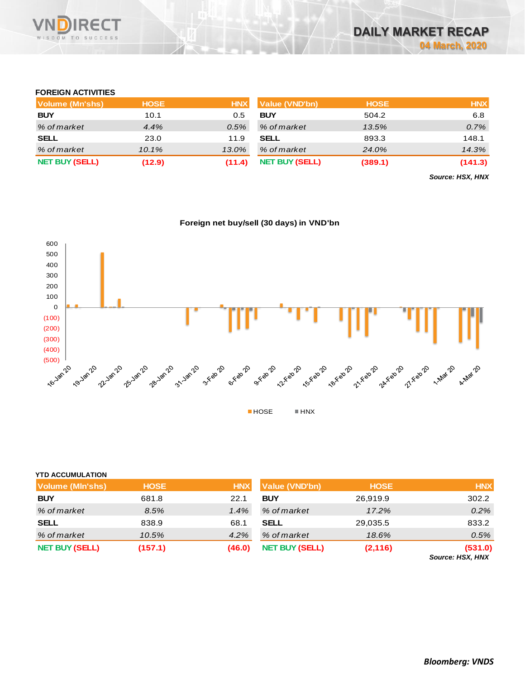

#### **FOREIGN ACTIVITIES**

| Volume (Mn'shs)       | <b>HOSE</b> | <b>HNX</b> | <b>Value (VND'bn)</b> | <b>HOSE</b> | <b>HNX</b> |
|-----------------------|-------------|------------|-----------------------|-------------|------------|
| <b>BUY</b>            | 10.1        | 0.5        | <b>BUY</b>            | 504.2       | 6.8        |
| % of market           | 4.4%        | $0.5\%$    | % of market           | 13.5%       | 0.7%       |
| <b>SELL</b>           | 23.0        | 11.9       | <b>SELL</b>           | 893.3       | 148.1      |
| % of market           | $10.1\%$    | 13.0%      | % of market           | 24.0%       | 14.3%      |
| <b>NET BUY (SELL)</b> | (12.9)      | (11.4)     | <b>NET BUY (SELL)</b> | (389.1)     | (141.3)    |

*Source: HSX, HNX*



|  |  | Foreign net buy/sell (30 days) in VND'bn |
|--|--|------------------------------------------|
|  |  |                                          |

| <b>YTD ACCUMULATION</b> |             |            |                       |             |                             |
|-------------------------|-------------|------------|-----------------------|-------------|-----------------------------|
| <b>Volume (MIn'shs)</b> | <b>HOSE</b> | <b>HNX</b> | <b>Value (VND'bn)</b> | <b>HOSE</b> | <b>HNX</b>                  |
| <b>BUY</b>              | 681.8       | 22.1       | <b>BUY</b>            | 26,919.9    | 302.2                       |
| % of market             | 8.5%        | 1.4%       | % of market           | 17.2%       | 0.2%                        |
| <b>SELL</b>             | 838.9       | 68.1       | <b>SELL</b>           | 29,035.5    | 833.2                       |
| % of market             | 10.5%       | $4.2\%$    | % of market           | 18.6%       | 0.5%                        |
| <b>NET BUY (SELL)</b>   | (157.1)     | (46.0)     | <b>NET BUY (SELL)</b> | (2, 116)    | (531.0)<br>Source: HSX, HNX |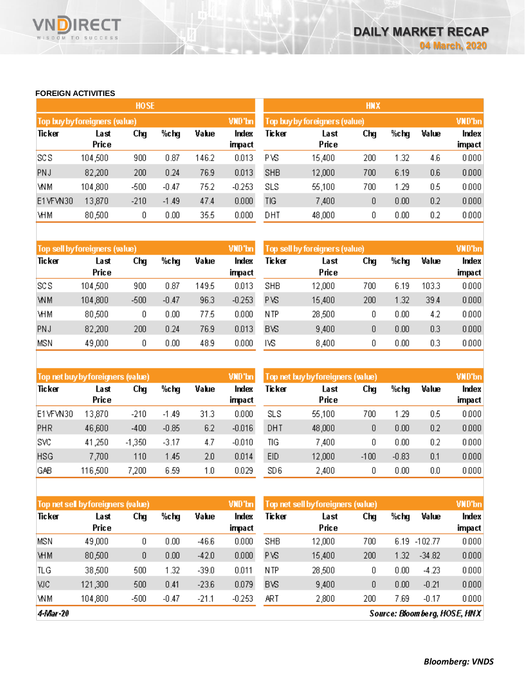#### **FOREIGN ACTIVITIES**

WISDOM TO SUCCESS

**RECT** 

 $\overline{\mathsf{V}}$ 

|            |                               | <b>HOSE</b> |         |       |                 | <b>HNX</b>                                     |               |     |      |       |                 |
|------------|-------------------------------|-------------|---------|-------|-----------------|------------------------------------------------|---------------|-----|------|-------|-----------------|
|            | Top buy by foreigners (value) |             |         |       | VND'bn          | <b>VND'bn</b><br>Top buy by foreigners (value) |               |     |      |       |                 |
| Ticker     | Last<br>Price                 | Chg         | %chg    | Value | Index<br>impact | Ticker                                         | Last<br>Price | Chg | %chg | Value | Index<br>impact |
| SCS        | 104,500                       | 900         | 0.87    | 146.2 | 0.013           | P VS                                           | 15,400        | 200 | 1.32 | 4.6   | 0.000           |
| <b>PNJ</b> | 82,200                        | 200         | 0.24    | 76.9  | 0.013           | <b>SHB</b>                                     | 12,000        | 700 | 6.19 | 0.6   | 0.000           |
| WM         | 104,800                       | $-500$      | $-0.47$ | 75.2  | $-0.253$        | SLS                                            | 55,100        | 700 | 1.29 | 0.5   | 0.000           |
| E1VFVN30   | 13,870                        | $-210$      | $-1.49$ | 47.4  | 0.000           | TIG                                            | 7,400         | 0   | 0.00 | 0.2   | 0.000           |
| VНM        | 80,500                        | 0           | 0.00    | 35.5  | 0.000           | DHT                                            | 48,000        | 0   | 0.00 | 0.2   | 0.000           |

|            | Top sell by foreigners (value) |        |         |       | VND'bn   | Top sell by foreigners (value) |        |     |      |       | <b>VND'bn</b> |
|------------|--------------------------------|--------|---------|-------|----------|--------------------------------|--------|-----|------|-------|---------------|
| Ticker     | Last                           | Chg    | %chg    | Value | Index    | Ticker                         | Last   | Chg | %chg | Value | Index         |
|            | Price                          |        |         |       | impact   |                                | Price  |     |      |       | impact        |
| <b>SCS</b> | 104,500                        | 900    | 0.87    | 149.5 | 0.013    | <b>SHB</b>                     | 12,000 | 700 | 6.19 | 103.3 | 0.000         |
| <b>WM</b>  | 104,800                        | $-500$ | $-0.47$ | 96.3  | $-0.253$ | <b>PVS</b>                     | 15,400 | 200 | 1.32 | 39.4  | 0.000         |
| <b>VHM</b> | 80,500                         | ۵      | 0.00    | 77.5  | 0.000    | N TP                           | 28,500 | ۵   | 0.00 | 4.2   | 0.000         |
| PNJ        | 82,200                         | 200    | 0.24    | 76.9  | 0.013    | <b>BVS</b>                     | 9,400  | 0   | 0.00 | 0.3   | 0.000         |
| <b>MSN</b> | 49,000                         | O      | 0.00    | 48.9  | 0.000    | IVS                            | 8,400  | 0   | 0.00 | 0.3   | 0.000         |

|            | Top net buy by foreigners (value) |          |         |       | VND'bn          | Top net buy by foreigners (value). |               |        |         |       |                 |
|------------|-----------------------------------|----------|---------|-------|-----------------|------------------------------------|---------------|--------|---------|-------|-----------------|
| Ticker     | Last<br>Price                     | Chg      | %chg    | Value | Index<br>impact | Ticker                             | Last<br>Price | Chg    | %chg    | Value | Index<br>impact |
| E1VFVN30   | 3,870                             | $-210$   | $-1.49$ | 31.3  | 0.000           | <b>SLS</b>                         | 55,100        | 700    | 1.29    | 0.5   | 0.000           |
| <b>PHR</b> | 46,600                            | $-400$   | $-0.85$ | 6.2   | $-0.016$        | DHT                                | 48,000        | 0      | 0.00    | 0.2   | 0.000           |
| SVC        | 41,250                            | $-1,350$ | $-3.17$ | 4.7   | $-0.010$        | TIG                                | 7,400         | 0      | 0.00    | 0.2   | 0.000           |
| <b>HSG</b> | 7,700                             | 110      | 1.45    | 2.0   | 0.014           | EID                                | 12,000        | $-100$ | $-0.83$ | 0.1   | 0.000           |
| GAB        | 116,500                           | 7,200    | 6.59    | 1.0   | 0.029           | SD 6                               | 2,400         | 0      | 0.00    | 0.0   | 0.000           |

|            | VND'bn<br>Top net sell by foreigners (value) |        |         |         |                 |            | Top net sell by foreigners (value) |     |      |           |                 |
|------------|----------------------------------------------|--------|---------|---------|-----------------|------------|------------------------------------|-----|------|-----------|-----------------|
| Ticker     | Last<br>Price                                | Chg    | %chg    | Value   | Index<br>impact | Ticker     | Last<br>Price                      | Chg | %chg | Value     | Index<br>impact |
|            |                                              |        |         |         |                 |            |                                    |     |      |           |                 |
| MSN        | 49,000                                       | 0      | 0.00    | $-46.6$ | 0.000           | SHB        | 12,000                             | 700 | 6.19 | $-102.77$ | 0.000           |
| <b>VHM</b> | 80,500                                       | Ω      | 0.00    | $-42.0$ | 0.000           | P VS       | 15,400                             | 200 | 1.32 | $-34.82$  | 0.000           |
| TLG        | 38,500                                       | 500    | 1.32    | $-39.0$ | 0.011           | N TP       | 28,500                             | 0   | 0.00 | $-4.23$   | 0.000           |
| <b>VJC</b> | 121,300                                      | 500    | 0.41    | $-23.6$ | 0.079           | <b>BVS</b> | 9,400                              | 0   | 0.00 | $-0.21$   | 0.000           |
| WM         | 104,800                                      | $-500$ | $-0.47$ | $-21.1$ | $-0.253$        | ART        | 2,800                              | 200 | 7.69 | $-0.17$   | 0.000           |

4-Mar-20

Source: Bloomberg, HOSE, HNX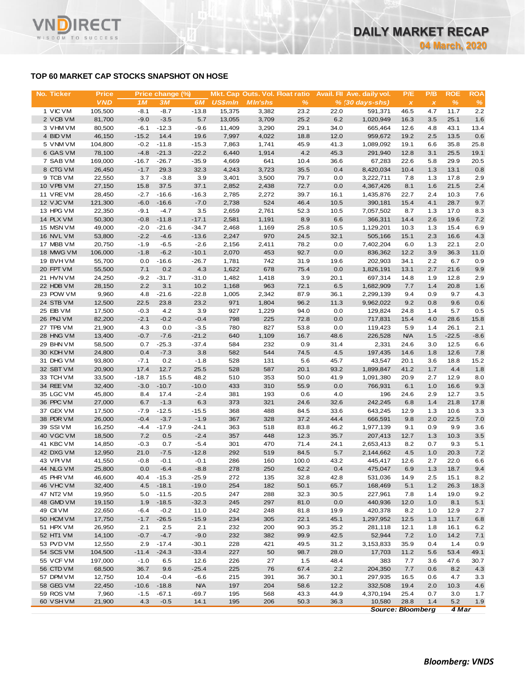# **TOP 60 MARKET CAP STOCKS SNAPSHOT ON HOSE**

**RECT** 

WISDOM TO SUCCESS

VI

| No. Ticker             | <b>Price</b>     |                   | Price change (%) |                 |                |                |              |             | Mkt. Cap Outs. Vol. Float ratio Avail. Fil Ave. daily vol. | P/E            | P/B            | <b>ROE</b>   | <b>ROA</b>    |
|------------------------|------------------|-------------------|------------------|-----------------|----------------|----------------|--------------|-------------|------------------------------------------------------------|----------------|----------------|--------------|---------------|
|                        | <b>VND</b>       | 1M                | 3M               | 6M              | <b>US\$mln</b> | <b>MIn'shs</b> | %            |             | $% (30 days-shs)$                                          | $\pmb{\times}$ | $\pmb{\times}$ | $\%$         | $\frac{9}{6}$ |
| 1 VIC VM               | 105,500          | $-8.1$            | $-8.7$           | $-13.8$         | 15,375         | 3,382          | 23.2         | 22.0        | 591,371                                                    | 46.5           | 4.7            | 11.7         | 2.2           |
| 2 VCB VM               | 81,700           | $-9.0$            | $-3.5$           | 5.7             | 13,055         | 3,709          | 25.2         | 6.2         | 1,020,949                                                  | 16.3           | 3.5            | 25.1         | 1.6           |
| 3 VHM VM               | 80,500           | $-6.1$            | $-12.3$          | $-9.6$          | 11,409         | 3,290          | 29.1         | 34.0        | 665,464                                                    | 12.6           | 4.8            | 43.1         | 13.4          |
| 4 BID VM               | 46,150           | $-15.2$           | 14.4             | 19.6            | 7,997          | 4,022          | 18.8         | 12.0        | 959,672                                                    | 19.2           | 2.5            | 13.5         | 0.6           |
| 5 VNM VM               | 104,800          | $-0.2$            | $-11.8$          | $-15.3$         | 7,863          | 1,741          | 45.9         | 41.3        | 1,089,092                                                  | 19.1           | 6.6            | 35.8         | 25.8          |
| 6 GAS VM               | 78,100           | $-4.8$            | $-21.3$          | $-22.2$         | 6,440          | 1,914          | 4.2          | 45.3        | 291,940                                                    | 12.8           | 3.1            | 25.5         | 19.1          |
| 7 SAB VM               | 169,000          | $-16.7$           | $-26.7$          | $-35.9$         | 4,669          | 641            | 10.4         | 36.6        | 67,283                                                     | 22.6           | 5.8            | 29.9         | 20.5          |
| 8 CTG VM<br>9 TCB VM   | 26,450<br>22,550 | $-1.7$<br>3.7     | 29.3<br>$-3.8$   | 32.3<br>3.9     | 4,243<br>3,401 | 3,723<br>3,500 | 35.5<br>79.7 | 0.4<br>0.0  | 8,420,034<br>3,222,711                                     | 10.4<br>7.8    | 1.3<br>1.3     | 13.1<br>17.8 | 0.8<br>2.9    |
| 10 VPB VM              | 27,150           | 15.8              | 37.5             | 37.1            | 2,852          | 2,438          | 72.7         | 0.0         | 4,367,426                                                  | 8.1            | 1.6            | 21.5         | 2.4           |
| 11 VRE VM              | 28,450           | $-2.7$            | $-16.6$          | $-16.3$         | 2,785          | 2,272          | 39.7         | 16.1        | 1,435,876                                                  | 22.7           | 2.4            | 10.3         | 7.6           |
| 12 VJC VM              | 121,300          | $-6.0$            | $-16.6$          | $-7.0$          | 2,738          | 524            | 46.4         | 10.5        | 390,181                                                    | 15.4           | 4.1            | 28.7         | 9.7           |
| 13 HPG VM              | 22,350           | $-9.1$            | $-4.7$           | 3.5             | 2,659          | 2,761          | 52.3         | 10.5        | 7,057,502                                                  | 8.7            | 1.3            | 17.0         | 8.3           |
| 14 PLX VM              | 50,300           | $-0.8$            | $-11.8$          | $-17.1$         | 2,581          | 1,191          | 8.9          | 6.6         | 366,311                                                    | 14.4           | 2.6            | 19.6         | 7.2           |
| 15 MSN VM              | 49,000           | $-2.0$            | $-21.6$          | $-34.7$         | 2,468          | 1,169          | 25.8         | 10.5        | 1,129,201                                                  | 10.3           | 1.3            | 15.4         | 6.9           |
| 16 NVL VM              | 53,800           | $-2.2$            | $-4.6$           | $-13.6$         | 2,247          | 970            | 24.5         | 32.1        | 505,166                                                    | 15.1           | 2.3            | 16.6         | 4.3           |
| 17 MBB VM              | 20,750           | $-1.9$            | $-6.5$           | $-2.6$          | 2,156          | 2,411          | 78.2         | 0.0         | 7,402,204                                                  | 6.0            | 1.3            | 22.1         | 2.0           |
| 18 MWG VM              | 106,000          | $-1.8$            | $-6.2$           | $-10.1$         | 2,070          | 453            | 92.7         | 0.0         | 836,362                                                    | 12.2           | 3.9            | 36.3         | 11.0          |
| 19 BVHVM               | 55,700           | 0.0               | $-16.6$          | $-26.7$         | 1,781          | 742            | 31.9         | 19.6        | 202,903                                                    | 34.1           | 2.2            | 6.7          | 0.9           |
| 20 FPT VM              | 55,500           | 7.1               | 0.2              | 4.3             | 1,622          | 678            | 75.4         | 0.0         | 1,826,191                                                  | 13.1           | 2.7            | 21.6         | 9.9           |
| 21 HVN VM              | 24,250           | $-9.2$            | $-31.7$          | $-31.0$         | 1,482          | 1,418          | 3.9          | 20.1        | 697,314                                                    | 14.8           | 1.9            | 12.8         | 2.9           |
| 22 HDB VM              | 28,150           | 2.2               | 3.1              | 10.2            | 1,168          | 963            | 72.1         | 6.5         | 1,682,909                                                  | 7.7            | 1.4            | 20.8         | 1.6           |
| 23 POW VM              | 9,960            | 4.8               | $-21.6$          | $-22.8$         | 1,005          | 2,342          | 87.9         | 36.1        | 2,299,139                                                  | 9.4            | 0.9            | 9.7          | 4.3           |
| 24 STB VM              | 12,500           | 22.5              | 23.8             | 23.2            | 971            | 1,804          | 96.2         | 11.3        | 9,962,022                                                  | 9.2            | 0.8            | 9.6          | 0.6           |
| 25 EIB VM              | 17,500           | $-0.3$            | 4.2              | 3.9             | 927            | 1,229          | 94.0         | 0.0         | 129,824                                                    | 24.8           | 1.4            | 5.7          | 0.5           |
| 26 PNJ VM              | 82,200           | $-2.1$            | $-0.2$           | $-0.4$          | 798            | 225            | 72.8         | 0.0         | 717,831                                                    | 15.4           | 4.0            | 28.6         | 15.8          |
| 27 TPB VM              | 21,900           | 4.3               | 0.0              | $-3.5$          | 780            | 827            | 53.8         | 0.0         | 119,423                                                    | 5.9            | 1.4            | 26.1         | 2.1           |
| 28 HNG VM              | 13,400           | $-0.7$            | $-7.6$           | $-21.2$         | 640            | 1,109          | 16.7         | 48.6        | 226,528                                                    | <b>N/A</b>     | 1.5            | $-22.5$      | $-8.6$        |
| 29 BHN VM              | 58,500           | 0.7               | $-25.3$          | $-37.4$         | 584            | 232            | 0.9          | 31.4        | 2,331                                                      | 24.6           | 3.0            | 12.5         | 6.6           |
| 30 KDH VM              | 24,800           | 0.4               | $-7.3$           | 3.8             | 582            | 544            | 74.5         | 4.5         | 197,435                                                    | 14.6           | 1.8            | 12.6         | 7.8           |
| 31 DHG VM              | 93,800           | $-7.1$            | 0.2              | $-1.8$          | 528            | 131            | 5.6          | 45.7        | 43,547                                                     | 20.1           | 3.6            | 18.8         | 15.2          |
| 32 SBT VM              | 20,900           | 17.4              | 12.7             | 25.5            | 528            | 587            | 20.1         | 93.2        | 1,899,847                                                  | 41.2           | 1.7            | 4.4          | 1.8           |
| 33 TCH VM<br>34 REE VM | 33,500<br>32,400 | $-18.7$<br>$-3.0$ | 15.5<br>$-10.7$  | 48.2<br>$-10.0$ | 510<br>433     | 353<br>310     | 50.0<br>55.9 | 41.9<br>0.0 | 1,091,380<br>766,931                                       | 20.9<br>6.1    | 2.7<br>1.0     | 12.9<br>16.6 | 8.0<br>9.3    |
| 35 LGC VM              | 45,800           | 8.4               | 17.4             | $-2.4$          | 381            | 193            | 0.6          | 4.0         | 196                                                        | 24.6           | 2.9            | 12.7         | 3.5           |
| 36 PPC VM              | 27,000           | 6.7               | $-1.3$           | 6.3             | 373            | 321            | 24.6         | 32.6        | 242,245                                                    | 6.8            | 1.4            | 21.8         | 17.8          |
| 37 GEX VM              | 17,500           | $-7.9$            | $-12.5$          | $-15.5$         | 368            | 488            | 84.5         | 33.6        | 643,245                                                    | 12.9           | 1.3            | 10.6         | 3.3           |
| 38 PDR VM              | 26,000           | $-0.4$            | $-3.7$           | $-1.9$          | 367            | 328            | 37.2         | 44.4        | 666,591                                                    | 9.8            | 2.0            | 22.5         | 7.0           |
| 39 SSIVM               | 16,250           | $-4.4$            | $-17.9$          | $-24.1$         | 363            | 518            | 83.8         | 46.2        | 1,977,139                                                  | 9.1            | 0.9            | 9.9          | 3.6           |
| 40 VGC VM              | 18,500           | 7.2               | 0.5              | $-2.4$          | 357            | 448            | 12.3         | 35.7        | 207,413                                                    | 12.7           | 1.3            | 10.3         | 3.5           |
| 41 KBC VM              | 14,850           | $-0.3$            | 0.7              | $-5.4$          | 301            | 470            | 71.4         | 24.1        | 2,653,413                                                  | 8.2            | 0.7            | 9.3          | 5.1           |
| 42 DXG VM              | 12,950           | 21.0              | $-7.5$           | $-12.8$         | 292            | 519            | 84.5         | 5.7         | 2,144,662                                                  | 4.5            | 1.0            | 20.3         | 7.2           |
| 43 VPIVM               | 41,550           | $-0.8$            | $-0.1$           | $-0.1$          | 286            | 160            | 100.0        | 43.2        | 445,417                                                    | 12.6           | 2.7            | 22.0         | 6.6           |
| 44 NLG VM              | 25,800           | 0.0               | $-6.4$           | $-8.8$          | 278            | 250            | 62.2         | 0.4         | 475,047                                                    | 6.9            | 1.3            | 18.7         | 9.4           |
| 45 PHR VM              | 46,600           | 40.4              | $-15.3$          | $-25.9$         | 272            | 135            | 32.8         | 42.8        | 531,036                                                    | 14.9           | 2.5            | 15.1         | 8.2           |
| 46 VHC VM              | 32,400           | 4.5               | $-18.1$          | $-19.0$         | 254            | 182            | 50.1         | 65.7        | 168,469                                                    | 5.1            | 1.2            | 26.3         | 18.3          |
| 47 NT2 VM              | 19,950           | 5.0               | $-11.5$          | $-20.5$         | 247            | 288            | 32.3         | 30.5        | 227,961                                                    | 7.8            | 1.4            | 19.0         | 9.2           |
| 48 GMD VM              | 19,150           | 1.9               | $-18.5$          | $-32.3$         | 245            | 297            | 81.0         | 0.0         | 440,936                                                    | 12.0           | 1.0            | 8.1          | 5.1           |
| 49 CII VM              | 22,650           | $-6.4$            | $-0.2$           | 11.0            | 242            | 248            | 81.8         | 19.9        | 420,378                                                    | 8.2            | 1.0            | 12.9         | 2.7           |
| 50 HCM VM              | 17,750           | $-1.7$            | $-26.5$          | $-15.9$         | 234            | 305            | 22.1         | 45.1        | 1,297,952                                                  | 12.5           | 1.3            | 11.7         | 6.8           |
| 51 HPX VM              | 26,950           | 2.1               | 2.5              | 2.1             | 232            | 200            | 90.3         | 35.2        | 281,118                                                    | 12.1           | 1.8            | 16.1         | 6.2           |
| 52 HT1 VM              | 14,100           | $-0.7$            | $-4.7$           | $-9.0$          | 232            | 382            | 99.9         | 42.5        | 52,944                                                     | 7.2            | 1.0            | 14.2         | 7.1           |
| 53 PVD VM              | 12,550           | 2.9               | $-17.4$          | $-30.1$         | 228            | 421            | 49.5         | 31.2        | 3,153,833                                                  | 35.9           | 0.4            | 1.4          | 0.9           |
| 54 SCS VM              | 104,500          | $-11.4$           | $-24.3$          | $-33.4$         | 227            | 50             | 98.7         | 28.0        | 17,703                                                     | 11.2           | 5.6            | 53.4         | 49.1          |
| 55 VCF VM              | 197,000          | $-1.0$            | 6.5              | 12.6            | 226            | 27             | 1.5          | 48.4        | 383                                                        | 7.7            | 3.6            | 47.6         | 30.7          |
| 56 CTD VM              | 68,500           | 36.7              | 9.6              | $-25.4$         | 225            | 76             | 67.4         | 2.2         | 204,350                                                    | 7.7            | 0.6            | 8.2          | 4.3           |
| 57 DPM VM              | 12,750           | 10.4              | $-0.4$           | $-6.6$          | 215            | 391            | 36.7         | 30.1        | 297,935                                                    | 16.5           | 0.6            | 4.7          | 3.3           |
| 58 GEG VM              | 22,450           | $-10.6$           | $-18.8$          | <b>N/A</b>      | 197            | 204            | 58.6         | 12.2        | 332,508                                                    | 19.4           | 2.0            | 10.3         | 4.6           |
| 59 ROS VM              | 7,960            | $-1.5$            | $-67.1$          | $-69.7$         | 195            | 568            | 43.3         | 44.9        | 4,370,194                                                  | 25.4           | 0.7            | 3.0          | 1.7           |
| 60 VSH VM              | 21,900           | 4.3               | $-0.5$           | 14.1            | 195            | 206            | 50.3         | 36.3        | 10,580                                                     | 28.8           | 1.4            | 5.2          | 1.9           |